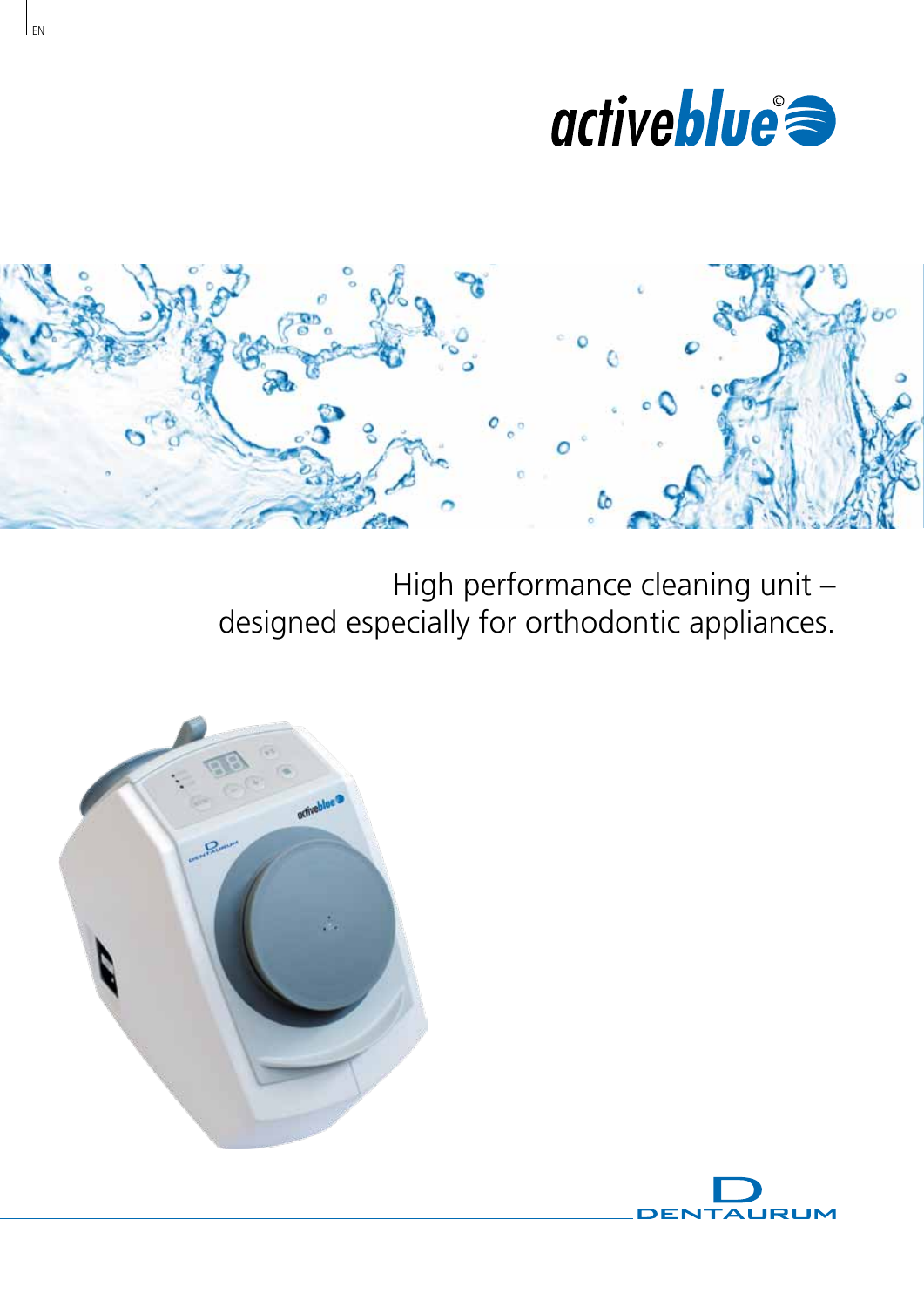



High performance cleaning unit – designed especially for orthodontic appliances.





 $E<sub>N</sub>$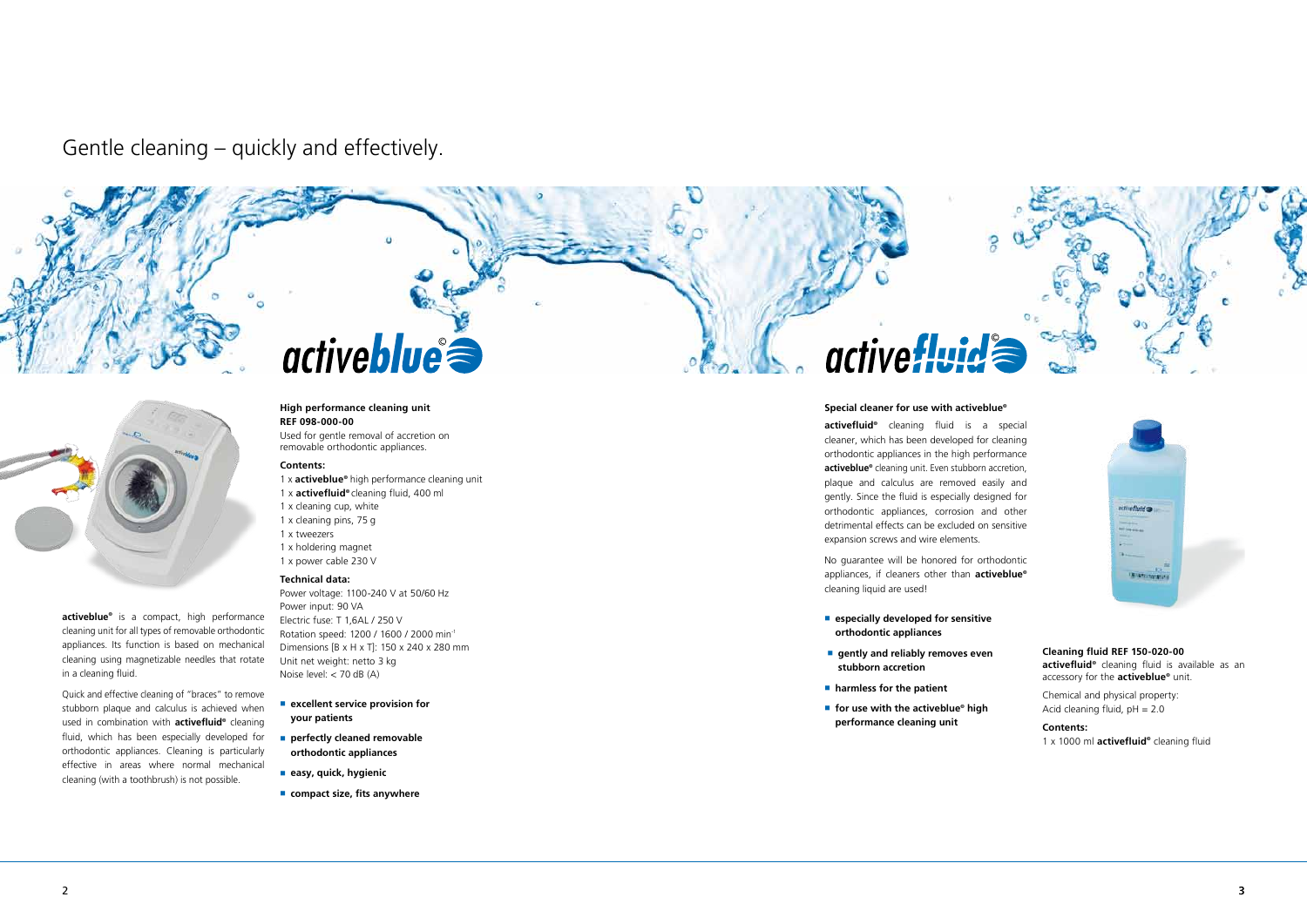Gentle cleaning – quickly and effectively.



## **Special cleaner for use with activeblue©**

**activefluid©** cleaning fluid is a special cleaner, which has been developed for cleaning orthodontic appliances in the high performance **activeblue©** cleaning unit. Even stubborn accretion, plaque and calculus are removed easily and gently. Since the fluid is especially designed for orthodontic appliances, corrosion and other detrimental effects can be excluded on sensitive expansion screws and wire elements.

activeblue<sup>®</sup> is a compact, high performance cleaning unit for all types of removable orthodontic appliances. Its function is based on mechanical cleaning using magnetizable needles that rotate in a cleaning fluid.

No guarantee will be honored for orthodontic appliances, if cleaners other than **activeblue©** cleaning liquid are used!

- **especially developed for sensitive orthodontic appliances**
- **gently and reliably removes even stubborn accretion**
- **harmless for the patient**
- for use with the activeblue<sup>®</sup> high **performance cleaning unit**





Chemical and physical property: Acid cleaning fluid,  $pH = 2.0$ 

- **excellent service provision for your patients**
- **perfectly cleaned removable orthodontic appliances**
- **easy, quick, hygienic**
- compact size, fits anywhere

## active fluid

Quick and effective cleaning of "braces" to remove stubborn plaque and calculus is achieved when used in combination with **activefluid**<sup>®</sup> cleaning fluid, which has been especially developed for orthodontic appliances. Cleaning is particularly effective in areas where normal mechanical cleaning (with a toothbrush) is not possible.

# activeblue

### **High performance cleaning unit REF 098-000-00**

Used for gentle removal of accretion on removable orthodontic appliances.

## **Contents:**

- 1 x **activeblue©** high performance cleaning unit
- 1 x **activefluid©** cleaning fluid, 400 ml
- 1 x cleaning cup, white
- 1 x cleaning pins, 75 g
- 1 x tweezers
- 1 x holdering magnet 1 x power cable 230 V

## **Technical data:**

Power voltage: 1100-240 V at 50/60 Hz Power input: 90 VA Electric fuse: T 1,6AL / 250 V Rotation speed: 1200 / 1600 / 2000 min-1 Dimensions [B x H x T]: 150 x 240 x 280 mm Unit net weight: netto 3 kg Noise level: < 70 dB (A)

**Cleaning fluid REF 150-020-00 activefluid©** cleaning fluid is available as an accessory for the **activeblue©** unit.

**Contents:** 1 x 1000 ml **activefluid©** cleaning fluid